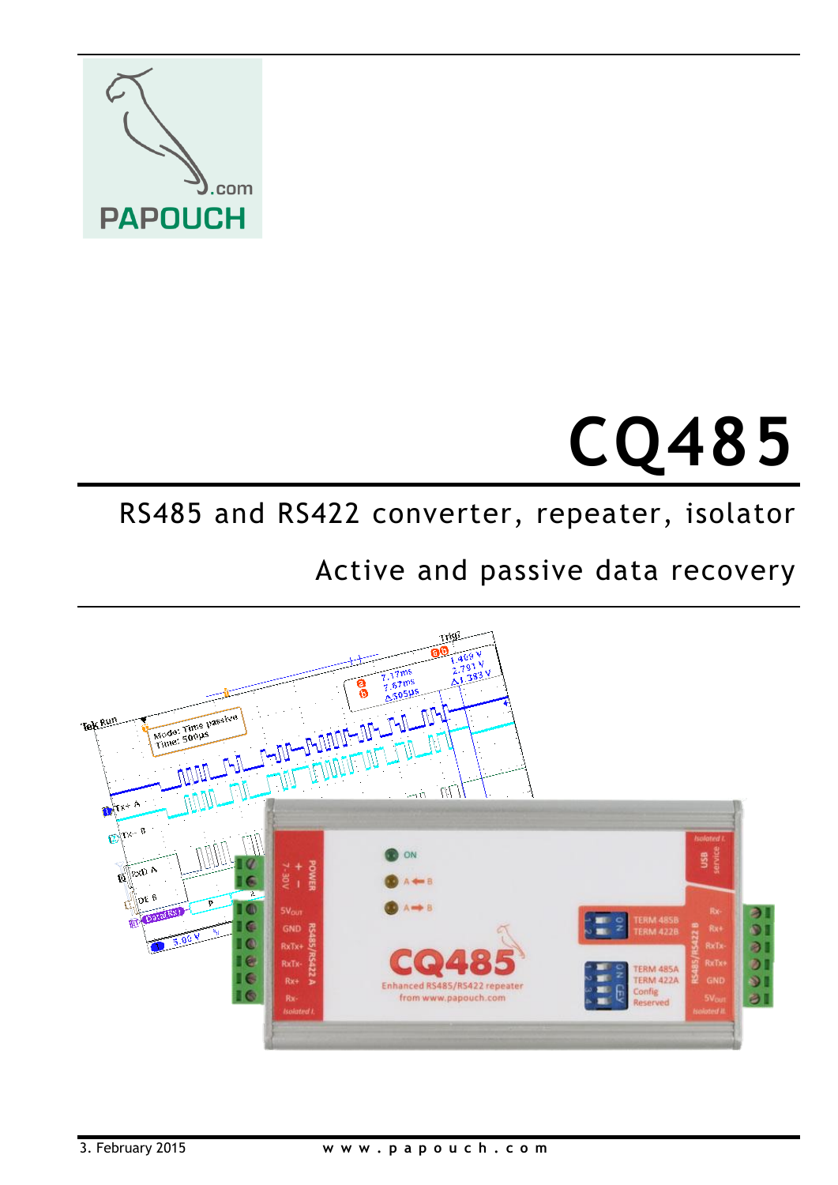

# **CQ485**

## RS485 and RS422 converter, repeater, isolator

# Active and passive data recovery

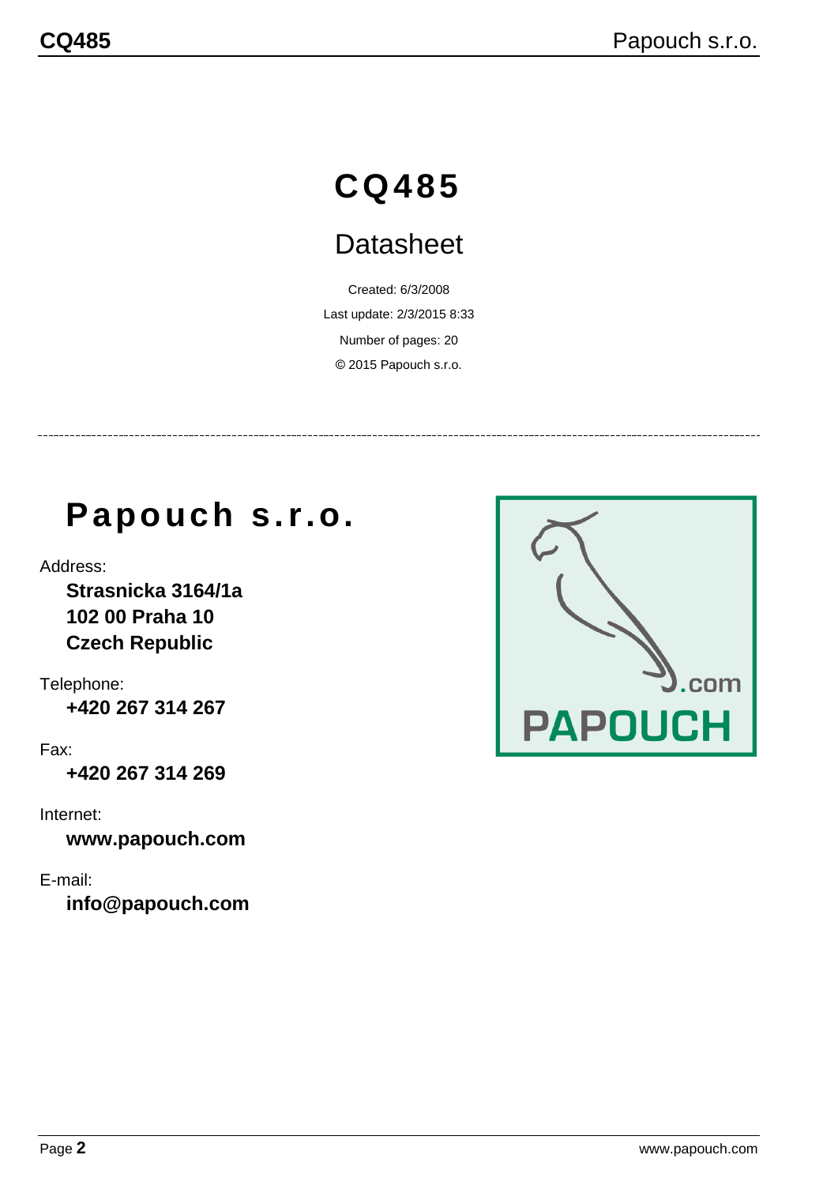# **CQ485**

# **Datasheet**

Created: 6/3/2008 Last update: 2/3/2015 8:33 Number of pages: 20 © 2015 Papouch s.r.o.

# **Papouch s.r.o.**

Address:

**Strasnicka 3164/1a 102 00 Praha 10 Czech Republic**

Telephone: **+420 267 314 267**

Fax:

**+420 267 314 269**

Internet:

**www.papouch.com**

E-mail:

**[info@papouch.com](mailto:info@papouch.com)**

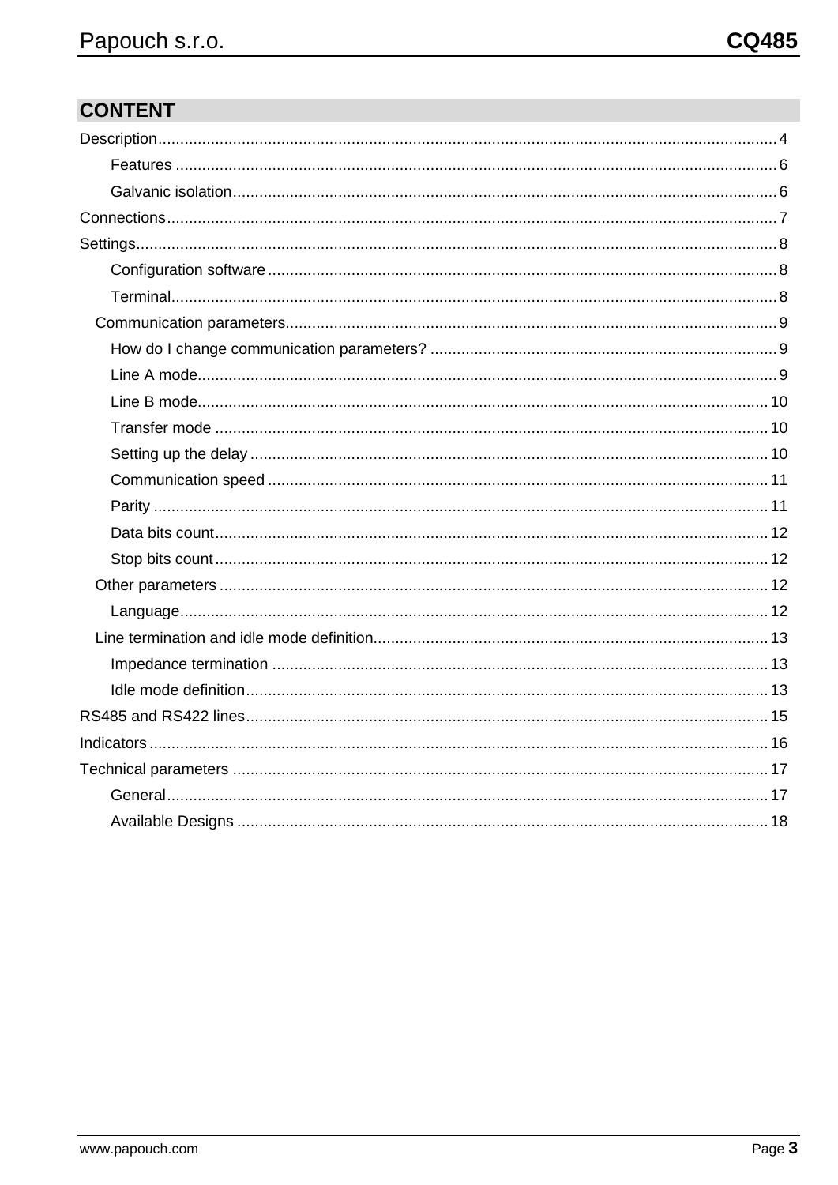### **CONTENT**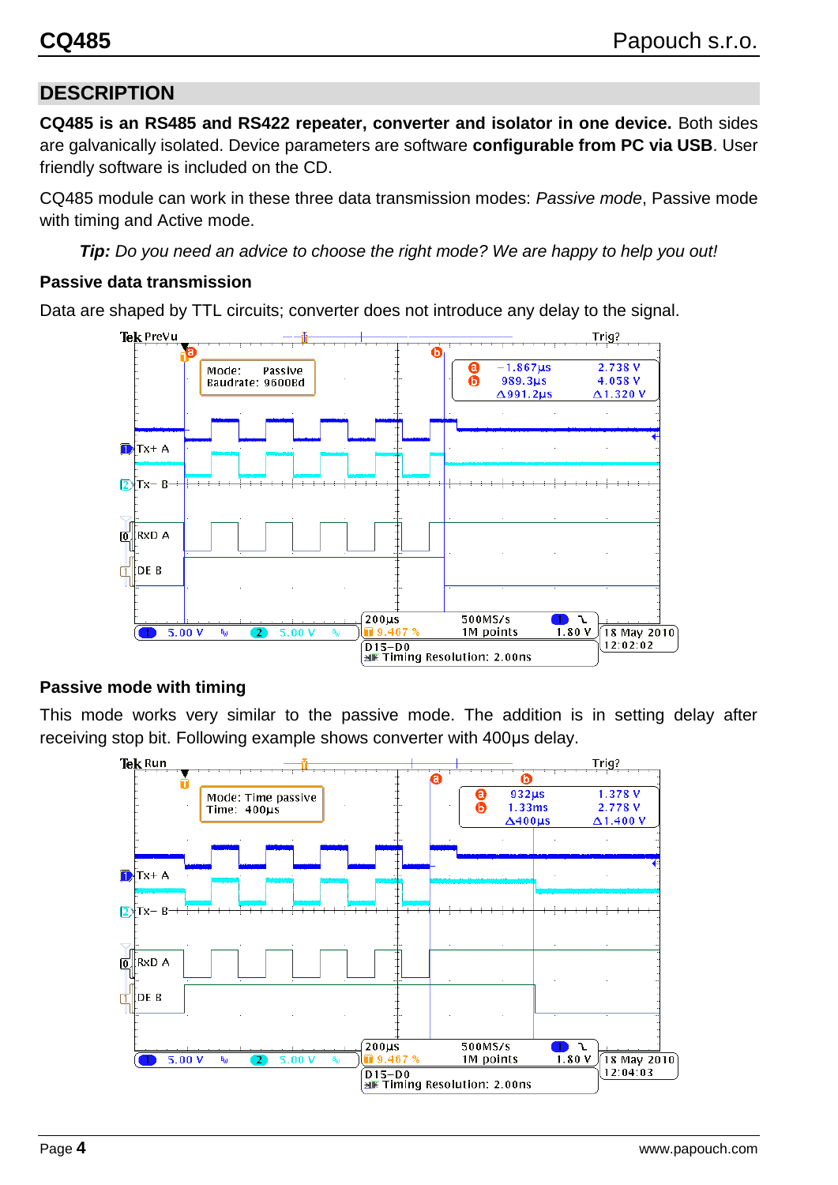#### <span id="page-3-0"></span>**DESCRIPTION**

**CQ485 is an RS485 and RS422 repeater, converter and isolator in one device.** Both sides are galvanically isolated. Device parameters are software **configurable from PC via USB**. User friendly software is included on the CD.

CQ485 module can work in these three data transmission modes: *Passive mode*, Passive mode with timing and Active mode.

*Tip: Do you need an advice to choose the right mode? We are happy to help you out!*

#### **Passive data transmission**

Data are shaped by TTL circuits; converter does not introduce any delay to the signal.



#### **Passive mode with timing**

This mode works very similar to the passive mode. The addition is in setting delay after receiving stop bit. Following example shows converter with 400µs delay.

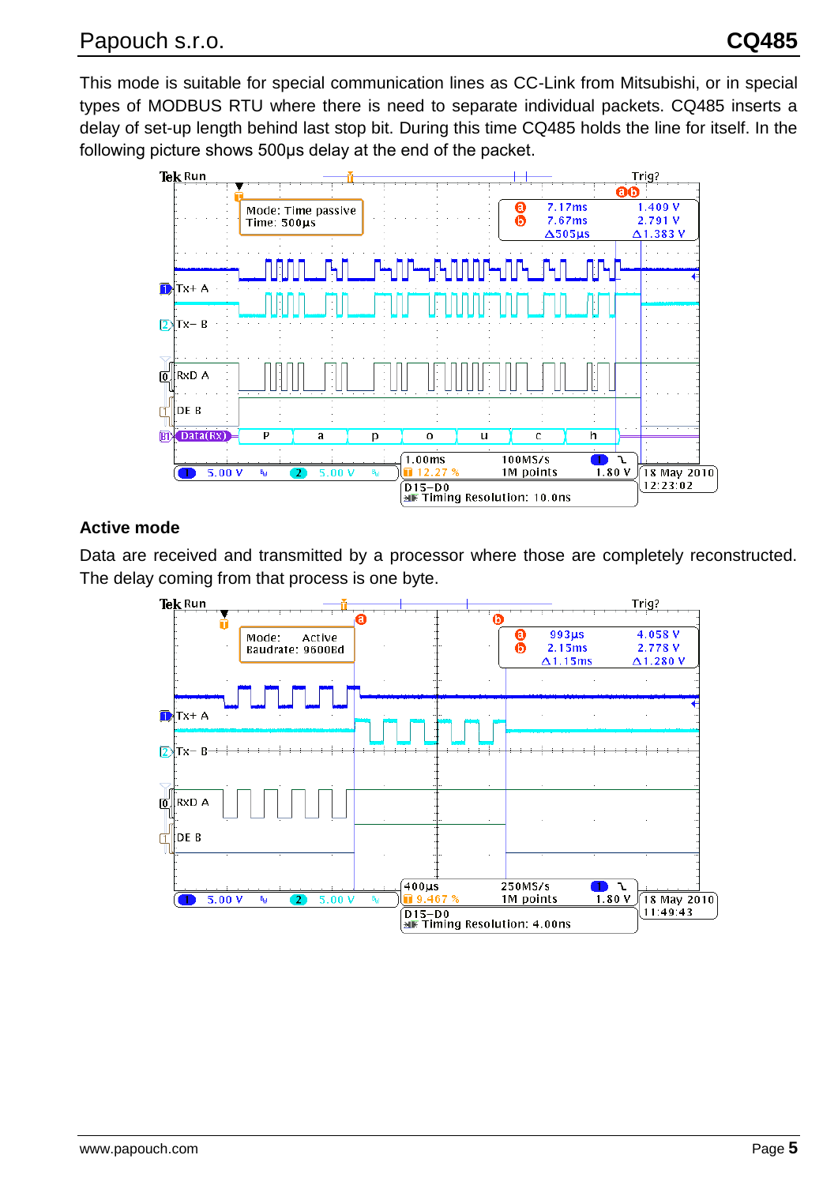This mode is suitable for special communication lines as CC-Link from Mitsubishi, or in special types of MODBUS RTU where there is need to separate individual packets. CQ485 inserts a delay of set-up length behind last stop bit. During this time CQ485 holds the line for itself. In the following picture shows 500µs delay at the end of the packet.



#### **Active mode**

Data are received and transmitted by a processor where those are completely reconstructed. The delay coming from that process is one byte.

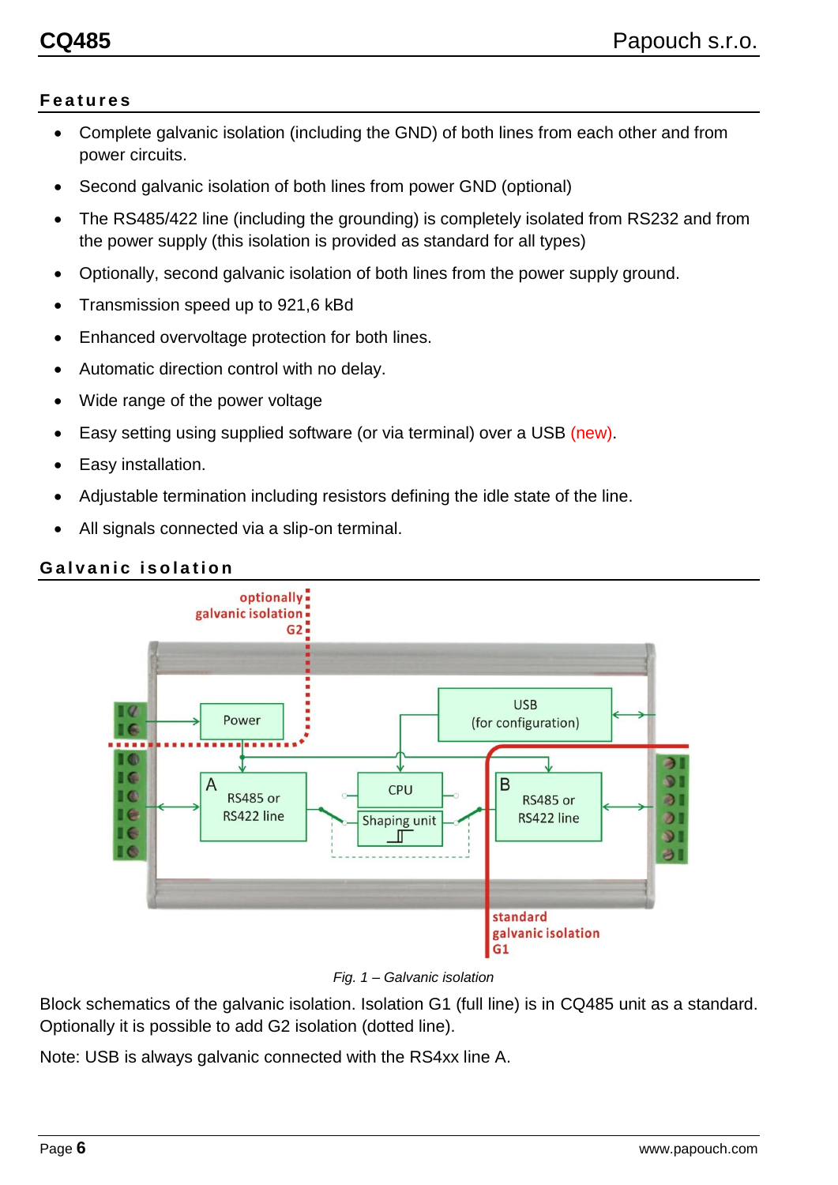#### <span id="page-5-0"></span>**F e a t u r e s**

- Complete galvanic isolation (including the GND) of both lines from each other and from power circuits.
- Second galvanic isolation of both lines from power GND (optional)
- The RS485/422 line (including the grounding) is completely isolated from RS232 and from the power supply (this isolation is provided as standard for all types)
- Optionally, second galvanic isolation of both lines from the power supply ground.
- Transmission speed up to 921,6 kBd
- Enhanced overvoltage protection for both lines.
- Automatic direction control with no delay.
- Wide range of the power voltage
- Easy setting using supplied software (or via terminal) over a USB (new).
- Easy installation.
- Adjustable termination including resistors defining the idle state of the line.
- All signals connected via a slip-on terminal.

#### <span id="page-5-1"></span>**Galvanic isolation**



*Fig. 1 – Galvanic isolation*

<span id="page-5-2"></span>Block schematics of the galvanic isolation. Isolation G1 (full line) is in CQ485 unit as a standard. Optionally it is possible to add G2 isolation (dotted line).

Note: USB is always galvanic connected with the RS4xx line A.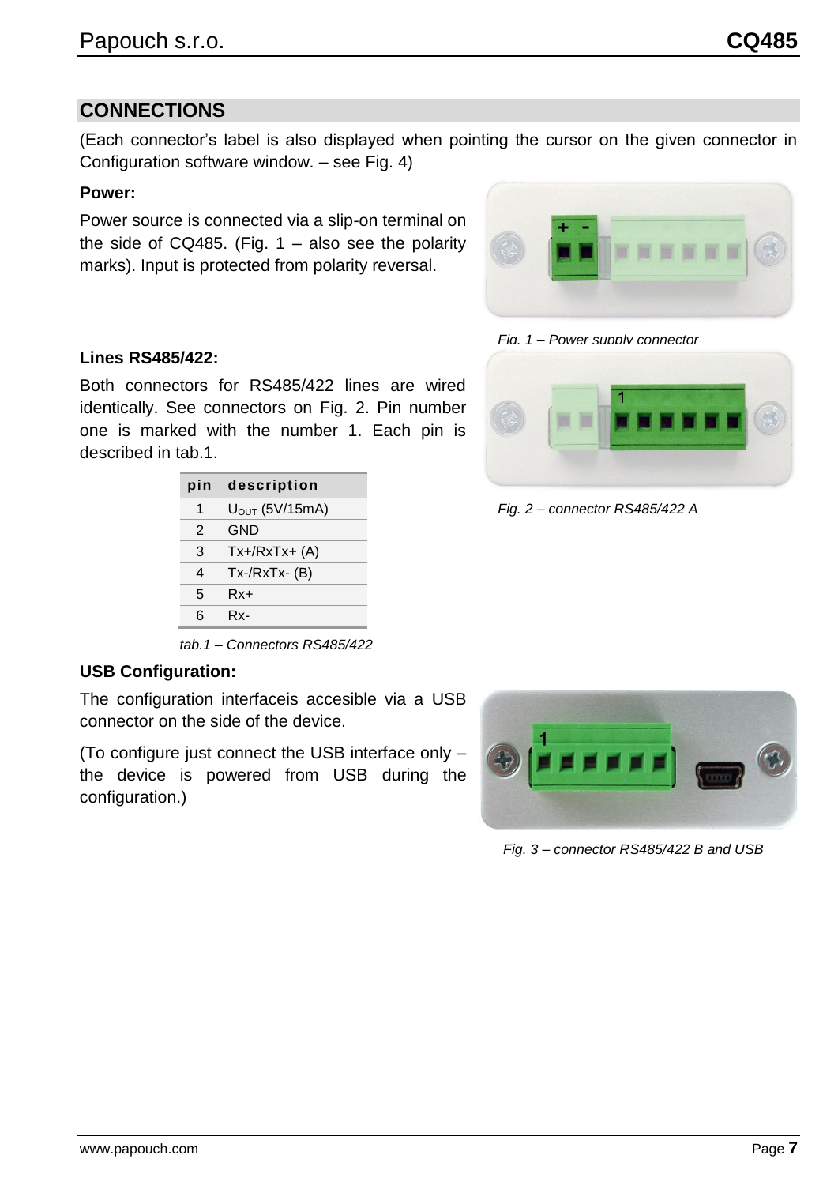**Power:**

Power source is connected via a slip-on terminal on the side of CQ485. (Fig.  $1 -$  also see the polarity marks). Input is protected from polarity reversal.

Configuration software window. – see [Fig. 4\)](#page-7-3)

(Each connector's label is also displayed when pointing the cursor on the given connector in

#### **Lines RS485/422:**

 $\sim$ 

<span id="page-6-0"></span>**CONNECTIONS**

Both connectors for RS485/422 lines are wired identically. See connectors on [Fig. 2.](#page-6-2) Pin number one is marked with the number 1. Each pin is described in [tab.1.](#page-6-3)

| pin | description          |  |
|-----|----------------------|--|
| 1   | $UOUT$ (5V/15mA)     |  |
| 2   | GND                  |  |
| 3   | $Tx+/RxTx+(A)$       |  |
| 4   | $Tx$ -/ $RxTx - (B)$ |  |
| 5   | Rx+                  |  |
| 6   | Rx-                  |  |

<span id="page-6-3"></span>*tab.1 – Connectors RS485/422*

#### **USB Configuration:**

The configuration interfaceis accesible via a USB connector on the side of the device.

(To configure just connect the USB interface only – the device is powered from USB during the configuration.)

<span id="page-6-2"></span>*Fig. 2 – connector RS485/422 A*



<span id="page-6-1"></span>

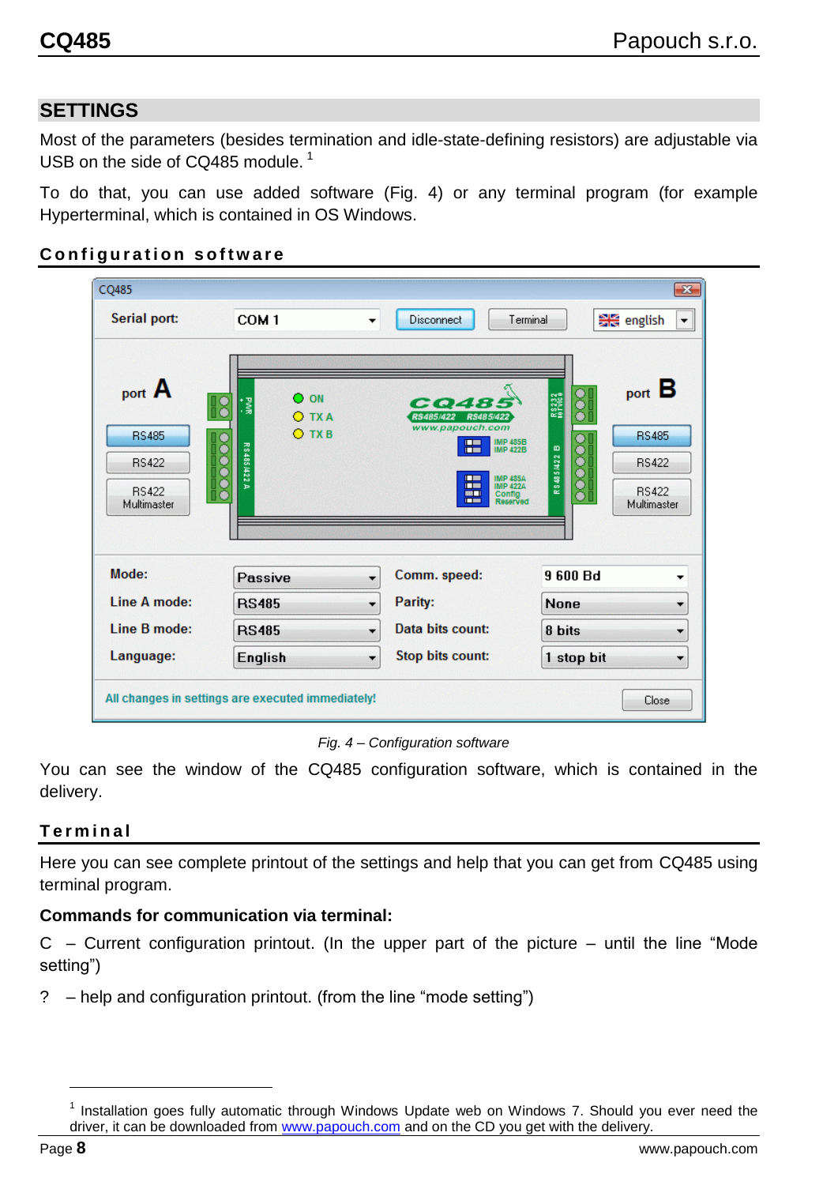#### <span id="page-7-0"></span>**SETTINGS**

Most of the parameters (besides termination and idle-state-defining resistors) are adjustable via USB on the side of CQ485 module.<sup>1</sup>

To do that, you can use added software [\(Fig. 4\)](#page-7-3) or any terminal program (for example Hyperterminal, which is contained in OS Windows.

#### <span id="page-7-1"></span>**Configuration software**

| CQ485                                                                 |                                                                                               |                                                                                                                                                                                                                                       | $\mathbf{x}$                                                                                                                  |  |  |
|-----------------------------------------------------------------------|-----------------------------------------------------------------------------------------------|---------------------------------------------------------------------------------------------------------------------------------------------------------------------------------------------------------------------------------------|-------------------------------------------------------------------------------------------------------------------------------|--|--|
| Serial port:                                                          | COM <sub>1</sub><br>▼                                                                         | Disconnect<br>Terminal                                                                                                                                                                                                                | 음은 english<br>$\overline{\phantom{a}}$                                                                                        |  |  |
| port A<br><b>RS485</b><br><b>RS422</b><br><b>RS422</b><br>Multimaster | $\Omega$ ON<br>$\overline{\mathbf{S}}$<br>' ≷ੂ<br><b>O</b> TXA<br>O TXB<br>R 8 4 8 5 14 2 2 A | CO485<br>RS485/422<br>RS485/422<br>www.papouch.com<br>IMP 485B<br>IMP 422B<br><b>The Second</b><br><b>THE R</b><br><b>MP 485A</b><br><b>The Second</b><br><b>THE</b><br><b>IMP 4224</b><br><b>PET TI</b><br>Config<br>m a<br>Reserved | port B<br>$\overset{\bullet}{\bullet}$<br>R8232<br><b>RS485</b><br>R8485/422 B<br><b>RS422</b><br><b>RS422</b><br>Multimaster |  |  |
| Mode:                                                                 | Passive<br>۰                                                                                  | Comm. speed:                                                                                                                                                                                                                          | 9 600 Bd<br>▼                                                                                                                 |  |  |
| Line A mode:                                                          | <b>RS485</b><br>۰                                                                             | Parity:                                                                                                                                                                                                                               | <b>None</b><br>▼                                                                                                              |  |  |
| Line B mode:                                                          | <b>RS485</b><br>▼                                                                             | Data bits count:                                                                                                                                                                                                                      | 8 bits<br>▼                                                                                                                   |  |  |
| Language:                                                             | <b>English</b><br>▼                                                                           | <b>Stop bits count:</b>                                                                                                                                                                                                               | 1 stop bit<br>▼                                                                                                               |  |  |
| All changes in settings are executed immediately!<br>Close            |                                                                                               |                                                                                                                                                                                                                                       |                                                                                                                               |  |  |

*Fig. 4 – Configuration software*

<span id="page-7-3"></span>You can see the window of the CQ485 configuration software, which is contained in the delivery.

#### <span id="page-7-2"></span>**T e r m i n a l**

Here you can see complete printout of the settings and help that you can get from CQ485 using terminal program.

#### **Commands for communication via terminal:**

 $C$  – Current configuration printout. (In the upper part of the picture – until the line "Mode setting")

? – help and configuration printout. (from the line "mode setting")

<sup>&</sup>lt;sup>1</sup> Installation goes fully automatic through Windows Update web on Windows 7. Should you ever need the driver, it can be downloaded from [www.papouch.com](http://www.papouch.com/) and on the CD you get with the delivery.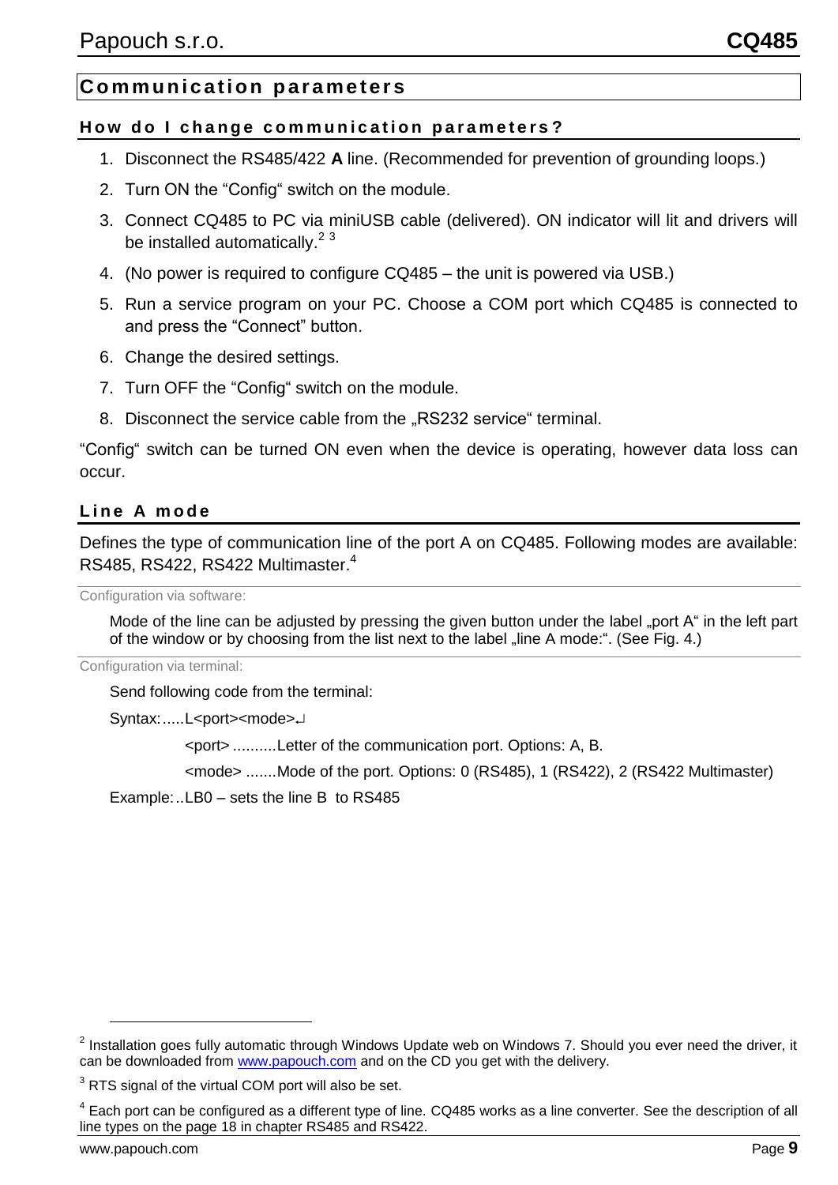#### <span id="page-8-0"></span>**C o m m u ni c ati on p ar a me ter s**

#### <span id="page-8-1"></span>How do I change communication parameters?

- 1. Disconnect the RS485/422 **A** line. (Recommended for prevention of grounding loops.)
- 2. Turn ON the "Config" switch on the module.
- 3. Connect CQ485 to PC via miniUSB cable (delivered). ON indicator will lit and drivers will be installed automatically.<sup>23</sup>
- 4. (No power is required to configure CQ485 the unit is powered via USB.)
- 5. Run a service program on your PC. Choose a COM port which CQ485 is connected to and press the "Connect" button.
- 6. Change the desired settings.
- 7. Turn OFF the "Config" switch on the module.
- 8. Disconnect the service cable from the "RS232 service" terminal.

"Config" switch can be turned ON even when the device is operating, however data loss can occur.

#### <span id="page-8-2"></span>**L i n e A m o d e**

Defines the type of communication line of the port A on CQ485. Following modes are available: RS485, RS422, RS422 Multimaster.<sup>4</sup>

Configuration via software:

Mode of the line can be adjusted by pressing the given button under the label "port A" in the left part of the window or by choosing from the list next to the label "line A mode:". (See [Fig. 4.](#page-7-3))

Configuration via terminal:

Send following code from the terminal:

Syntax:.....L<port><mode>

<port> ..........Letter of the communication port. Options: A, B.

<mode> .......Mode of the port. Options: 0 (RS485), 1 (RS422), 2 (RS422 Multimaster)

Example:..LB0 – sets the line B to RS485

 $2$  Installation goes fully automatic through Windows Update web on Windows 7. Should you ever need the driver, it can be downloaded from [www.papouch.com](http://www.papouch.com/) and on the CD you get with the delivery.

 $3$  RTS signal of the virtual COM port will also be set.

 $4$  Each port can be configured as a different type of line. CQ485 works as a line converter. See the description of all line types on the page [18](#page-14-0) in chapter [RS485 and](#page-14-0) RS422.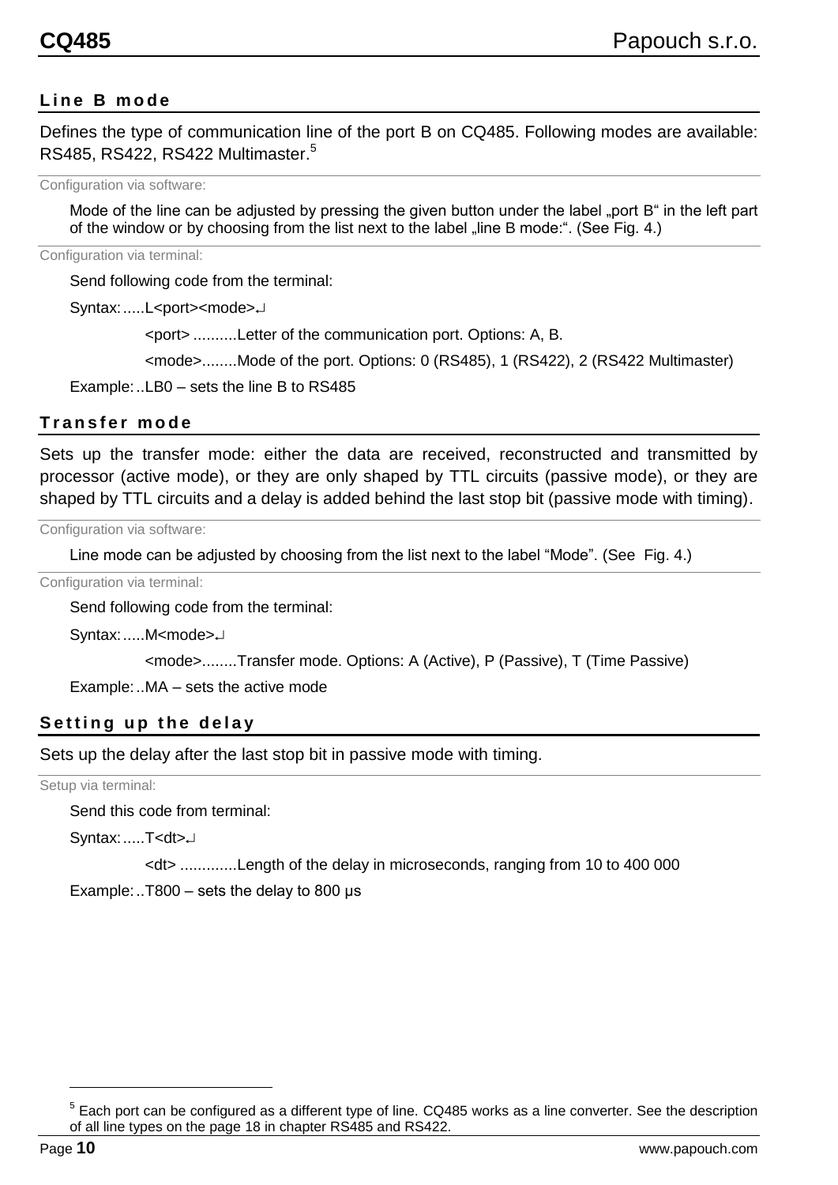#### <span id="page-9-0"></span>**L i n e B m o d e**

Defines the type of communication line of the port B on CQ485. Following modes are available: RS485, RS422, RS422 Multimaster.<sup>5</sup>

Configuration via software:

Mode of the line can be adjusted by pressing the given button under the label "port B" in the left part of the window or by choosing from the list next to the label "line B mode:". (See [Fig. 4.](#page-7-3))

Configuration via terminal:

Send following code from the terminal:

Syntax:.....L<port><mode>J

<port> ..........Letter of the communication port. Options: A, B.

<mode>........Mode of the port. Options: 0 (RS485), 1 (RS422), 2 (RS422 Multimaster)

Example:..LB0 – sets the line B to RS485

#### <span id="page-9-1"></span>**T r a n s f e r m o d e**

Sets up the transfer mode: either the data are received, reconstructed and transmitted by processor (active mode), or they are only shaped by TTL circuits (passive mode), or they are shaped by TTL circuits and a delay is added behind the last stop bit (passive mode with timing).

Configuration via software:

Line mode can be adjusted by choosing from the list next to the label "Mode". (See [Fig. 4.](#page-7-3))

Configuration via terminal:

Send following code from the terminal:

Syntax:.....M<mode>J

<mode>........Transfer mode. Options: A (Active), P (Passive), T (Time Passive)

Example:..MA – sets the active mode

#### <span id="page-9-2"></span>**Setting up the delay**

Sets up the delay after the last stop bit in passive mode with timing.

Setup via terminal:

Send this code from terminal:

Syntax:.....T<dt>J

<dt> .............Length of the delay in microseconds, ranging from 10 to 400 000

Example:..T800 – sets the delay to 800  $\mu$ s

 $5$  Each port can be configured as a different type of line. CQ485 works as a line converter. See the description of all line types on the page [18](#page-14-0) in chapter [RS485 and](#page-14-0) RS422.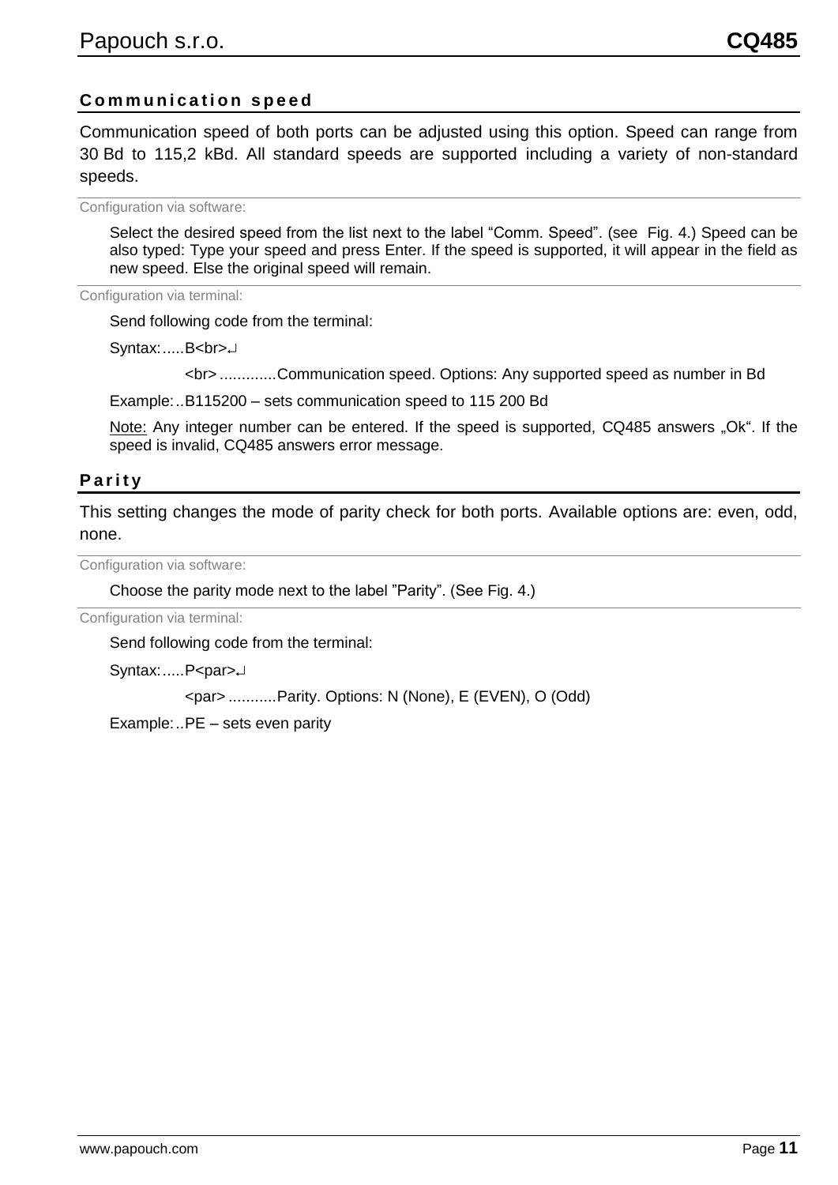#### <span id="page-10-0"></span>**C o m m u n i c a t i o n s p e e d**

Communication speed of both ports can be adjusted using this option. Speed can range from 30 Bd to 115,2 kBd. All standard speeds are supported including a variety of non-standard speeds.

Configuration via software:

Select the desired speed from the list next to the label "Comm. Speed". (see [Fig. 4.](#page-7-3)) Speed can be also typed: Type your speed and press Enter. If the speed is supported, it will appear in the field as new speed. Else the original speed will remain.

Configuration via terminal:

Send following code from the terminal:

Syntax:.....B<br>

<br> .............Communication speed. Options: Any supported speed as number in Bd

Example:..B115200 – sets communication speed to 115 200 Bd

Note: Any integer number can be entered. If the speed is supported, CQ485 answers "Ok". If the speed is invalid, CQ485 answers error message.

#### <span id="page-10-1"></span>**P a r i t y**

This setting changes the mode of parity check for both ports. Available options are: even, odd, none.

Configuration via software:

Choose the parity mode next to the label "Parity". (See [Fig. 4.](#page-7-3))

Configuration via terminal:

Send following code from the terminal:

Syntax:.....P<par>

<par> ...........Parity. Options: N (None), E (EVEN), O (Odd)

Example:..PE – sets even parity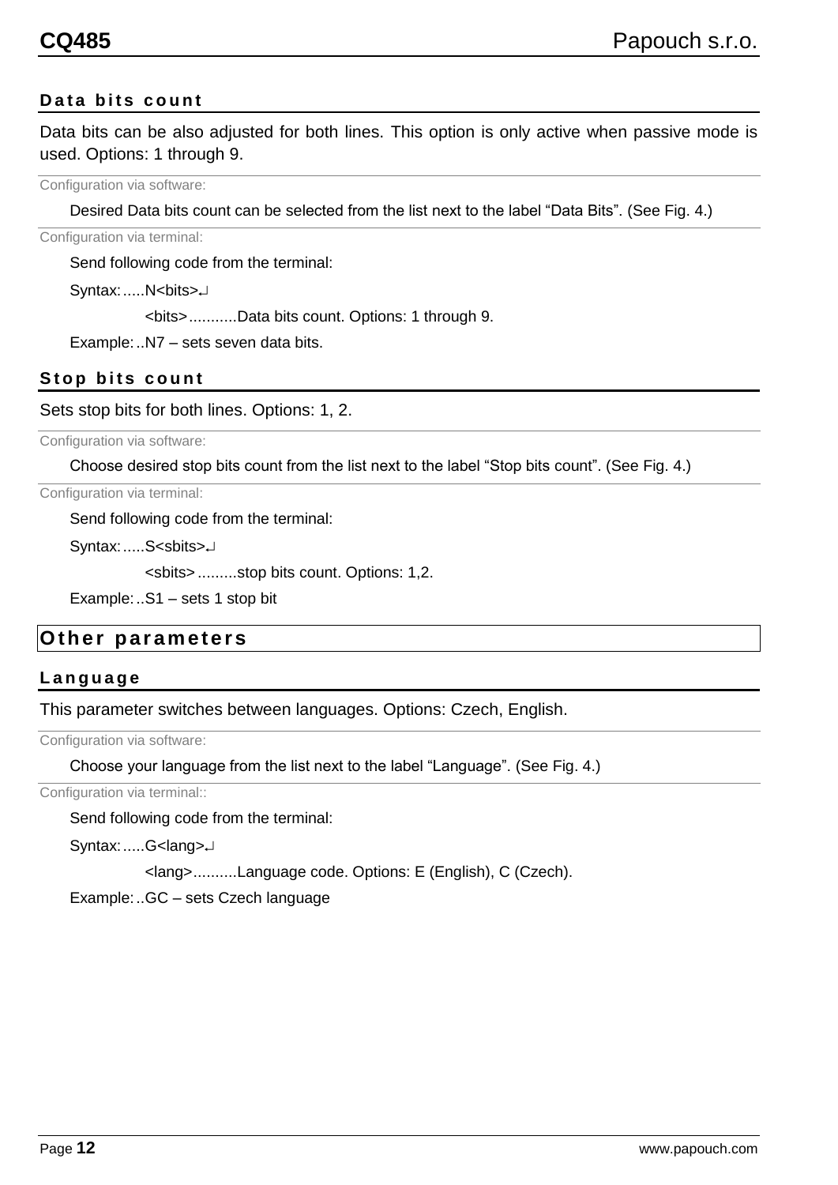#### <span id="page-11-0"></span>**Data bits count**

Data bits can be also adjusted for both lines. This option is only active when passive mode is used. Options: 1 through 9.

Configuration via software:

Desired Data bits count can be selected from the list next to the label "Data Bits". (See [Fig. 4.](#page-7-3))

Configuration via terminal:

Send following code from the terminal:

Syntax:.....N<br/>bits>

<bits>...........Data bits count. Options: 1 through 9.

Example:..N7 – sets seven data bits.

#### <span id="page-11-1"></span>**Stop bits count**

Sets stop bits for both lines. Options: 1, 2.

Configuration via software:

Choose desired stop bits count from the list next to the label "Stop bits count". (See [Fig. 4.](#page-7-3))

Configuration via terminal:

Send following code from the terminal:

Syntax: .....S<sbits>J

<sbits> .........stop bits count. Options: 1,2.

Example:..S1 – sets 1 stop bit

#### <span id="page-11-2"></span>**Other parameters**

#### <span id="page-11-3"></span>**L a n g u a g e**

This parameter switches between languages. Options: Czech, English.

Configuration via software:

Choose your language from the list next to the label "Language". (See [Fig. 4.](#page-7-3))

Configuration via terminal::

Send following code from the terminal:

Syntax: .....G<lang><sup>→</sup>

<lang>..........Language code. Options: E (English), C (Czech).

Example:..GC – sets Czech language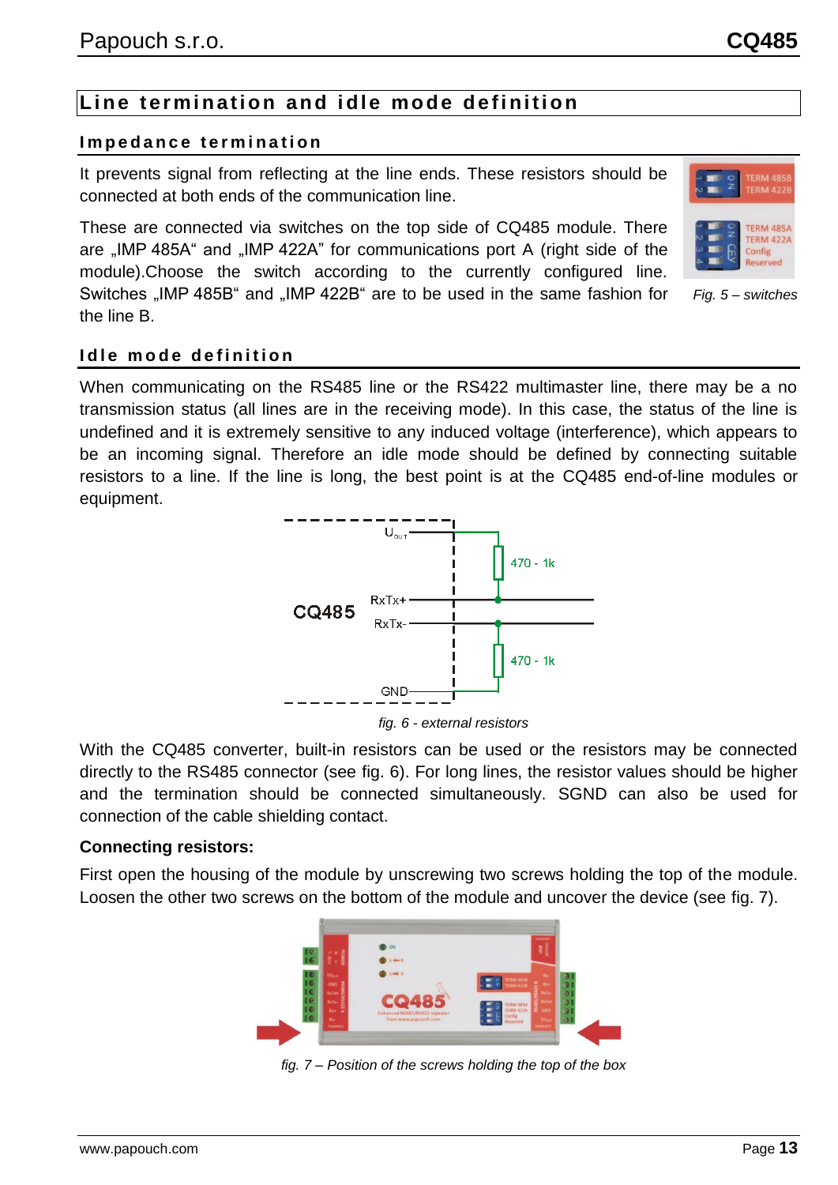#### <span id="page-12-1"></span><span id="page-12-0"></span>**I m p e d a n c e t e r m i n a t i o n**

It prevents signal from reflecting at the line ends. These resistors should be connected at both ends of the communication line.

These are connected via switches on the top side of CQ485 module. There are "IMP 485A" and "IMP 422A" for communications port A (right side of the module).Choose the switch according to the currently configured line. Switches "IMP 485B" and "IMP 422B" are to be used in the same fashion for

the line B.

 $U_{\text{out}}$ 

#### <span id="page-12-2"></span>**Idle mode definition**

When communicating on the RS485 line or the RS422 multimaster line, there may be a no transmission status (all lines are in the receiving mode). In this case, the status of the line is undefined and it is extremely sensitive to any induced voltage (interference), which appears to be an incoming signal. Therefore an idle mode should be defined by connecting suitable resistors to a line. If the line is long, the best point is at the CQ485 end-of-line modules or equipment.



 $470 - 1k$ 

*fig. 6 - external resistors*

<span id="page-12-3"></span>With the CQ485 converter, built-in resistors can be used or the resistors may be connected directly to the RS485 connector (see [fig. 6\)](#page-12-3). For long lines, the resistor values should be higher and the termination should be connected simultaneously. SGND can also be used for connection of the cable shielding contact.

#### **Connecting resistors:**

<span id="page-12-4"></span>First open the housing of the module by unscrewing two screws holding the top of the module. Loosen the other two screws on the bottom of the module and uncover the device (see [fig. 7\)](#page-12-4).



*fig. 7 – Position of the screws holding the top of the box*

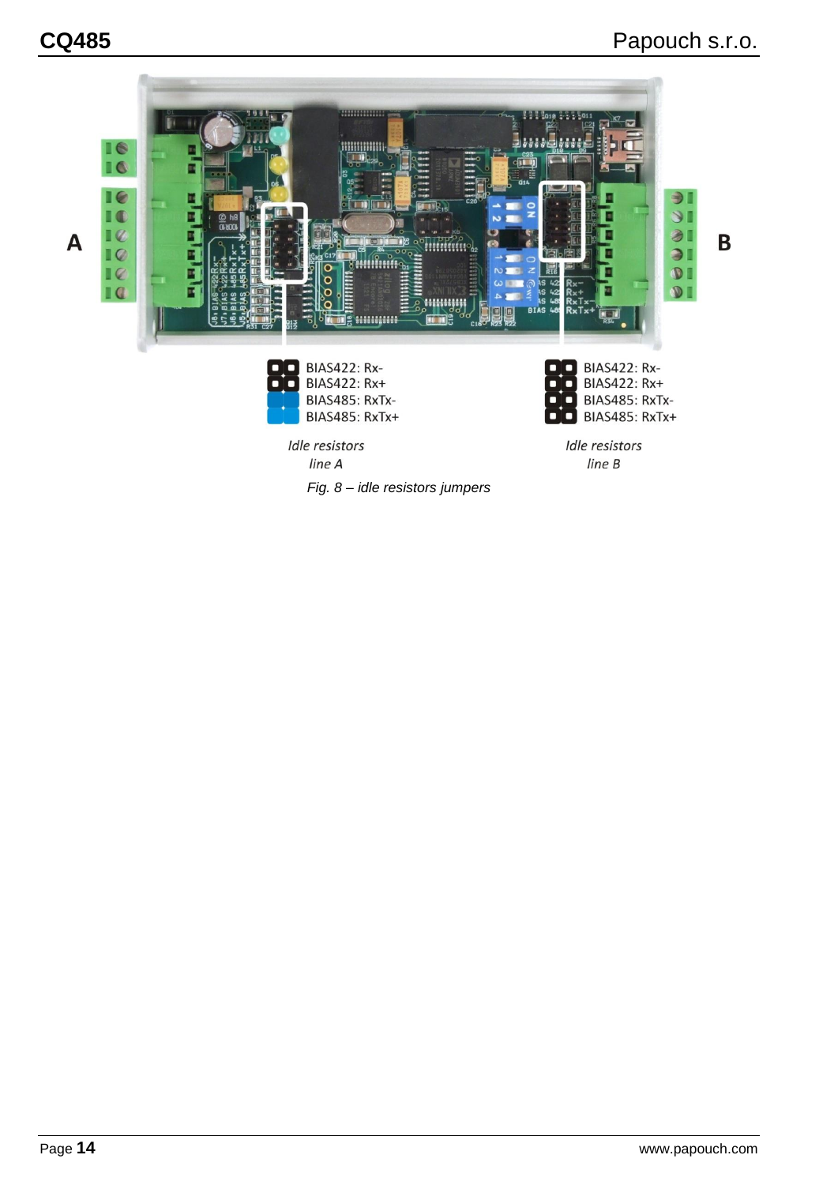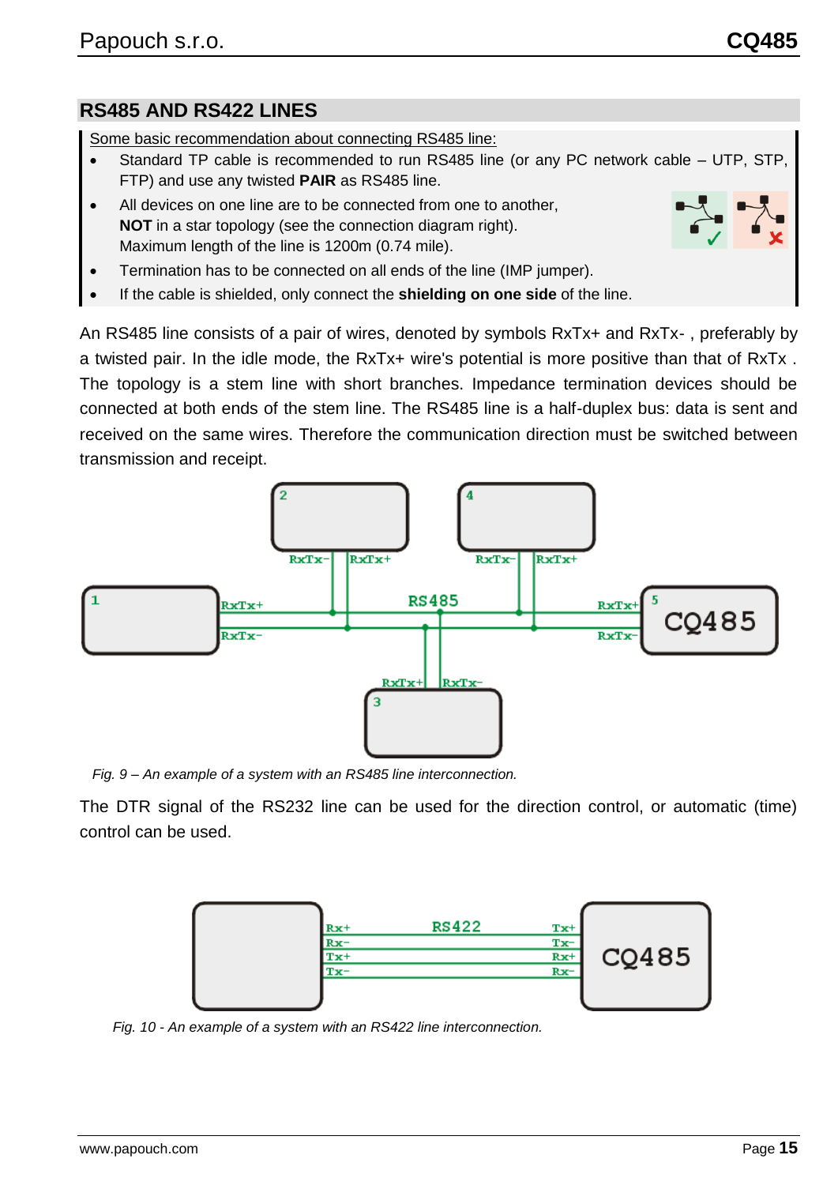#### <span id="page-14-0"></span>**RS485 AND RS422 LINES**

Some basic recommendation about connecting RS485 line:

- Standard TP cable is recommended to run RS485 line (or any PC network cable UTP, STP, FTP) and use any twisted **PAIR** as RS485 line.
- All devices on one line are to be connected from one to another, **NOT** in a star topology (see the connection diagram right). Maximum length of the line is 1200m (0.74 mile).
- Termination has to be connected on all ends of the line (IMP jumper).
- If the cable is shielded, only connect the **shielding on one side** of the line.

An RS485 line consists of a pair of wires, denoted by symbols RxTx+ and RxTx- , preferably by a twisted pair. In the idle mode, the RxTx+ wire's potential is more positive than that of RxTx . The topology is a stem line with short branches. Impedance termination devices should be connected at both ends of the stem line. The RS485 line is a half-duplex bus: data is sent and received on the same wires. Therefore the communication direction must be switched between transmission and receipt.



*Fig. 9 – An example of a system with an RS485 line interconnection.*

The DTR signal of the RS232 line can be used for the direction control, or automatic (time) control can be used.



*Fig. 10 - An example of a system with an RS422 line interconnection.*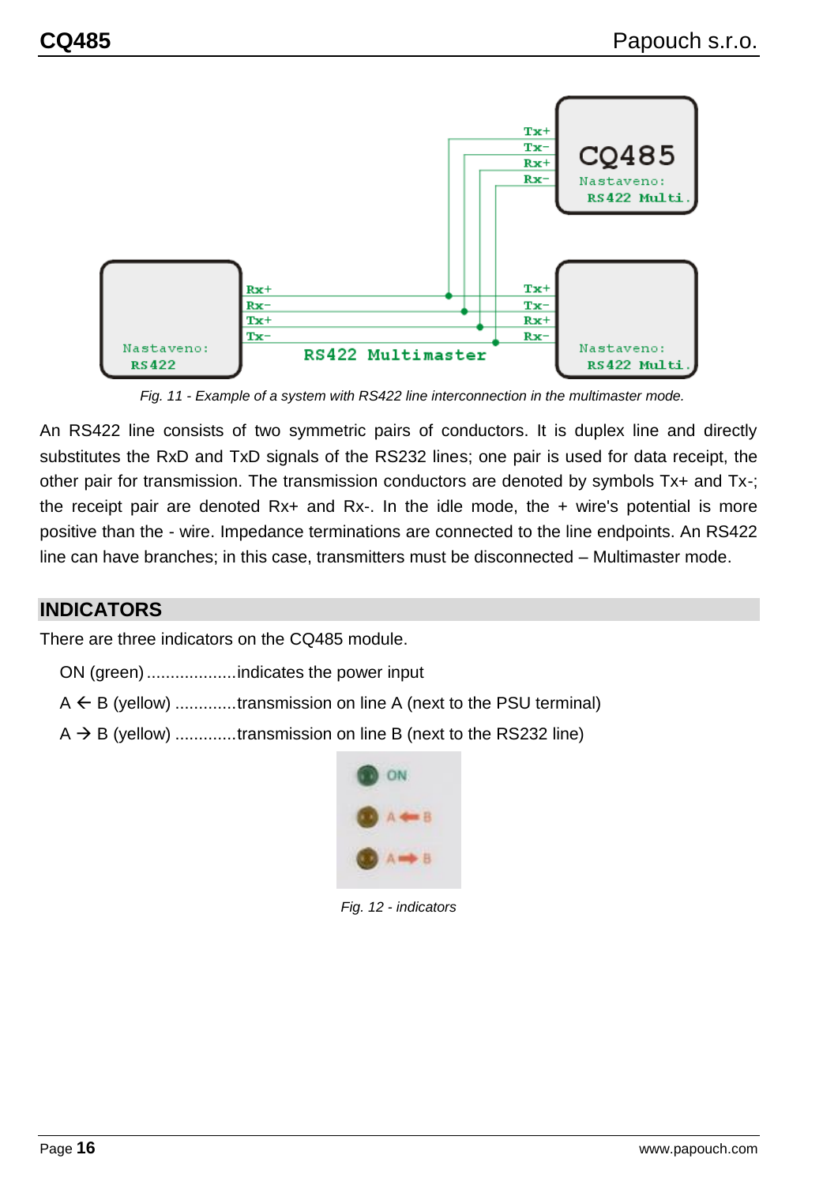

*Fig. 11 - Example of a system with RS422 line interconnection in the multimaster mode.*

An RS422 line consists of two symmetric pairs of conductors. It is duplex line and directly substitutes the RxD and TxD signals of the RS232 lines; one pair is used for data receipt, the other pair for transmission. The transmission conductors are denoted by symbols Tx+ and Tx-; the receipt pair are denoted Rx+ and Rx-. In the idle mode, the + wire's potential is more positive than the - wire. Impedance terminations are connected to the line endpoints. An RS422 line can have branches; in this case, transmitters must be disconnected – Multimaster mode.

#### <span id="page-15-0"></span>**INDICATORS**

There are three indicators on the CQ485 module.

ON (green)...................indicates the power input

- $A \leftarrow B$  (yellow) ............transmission on line A (next to the PSU terminal)
- $A \rightarrow B$  (yellow) ............transmission on line B (next to the RS232 line)



*Fig. 12 - indicators*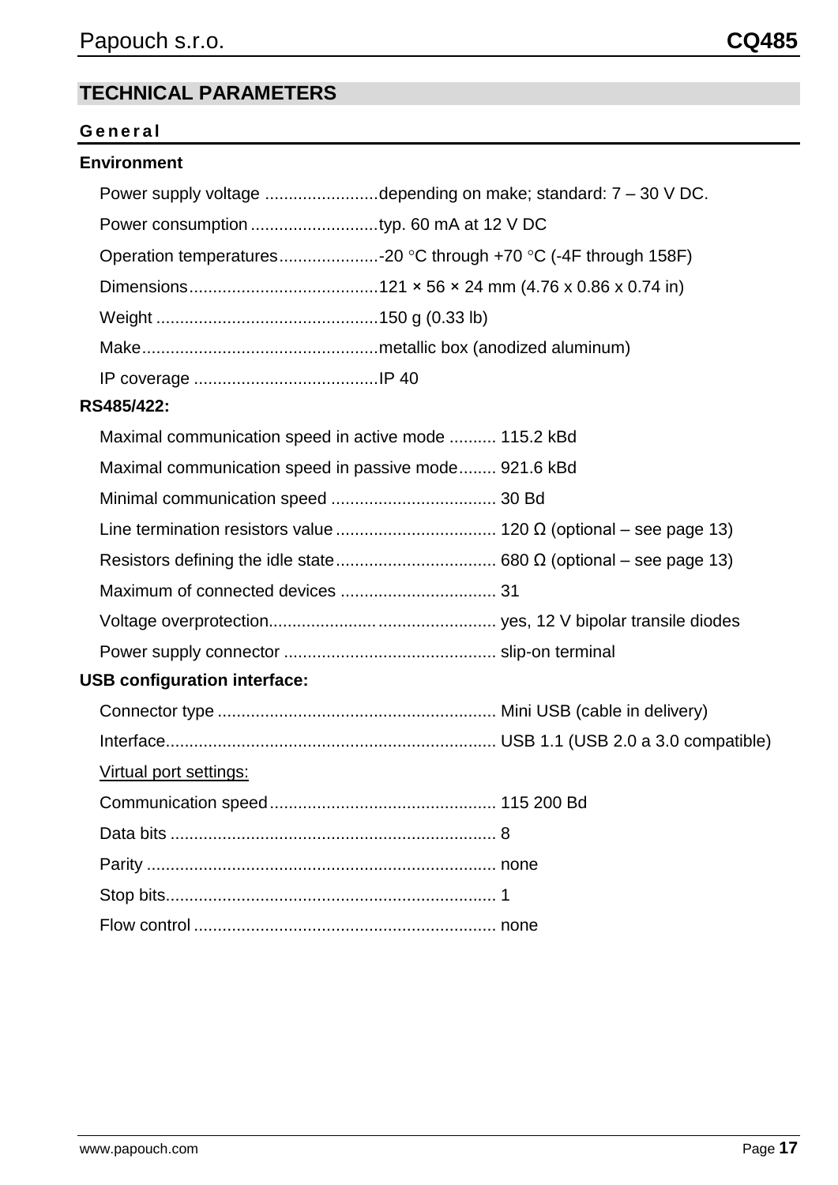#### <span id="page-16-0"></span>**TECHNICAL PARAMETERS**

#### <span id="page-16-1"></span>**G e n e r a l**

#### **Environment**

| Power supply voltage depending on make; standard: 7 - 30 V DC. |
|----------------------------------------------------------------|
|                                                                |
| Operation temperatures-20 °C through +70 °C (-4F through 158F) |
|                                                                |
|                                                                |
|                                                                |
|                                                                |
| RS485/422:                                                     |
| Maximal communication speed in active mode  115.2 kBd          |
| Maximal communication speed in passive mode 921.6 kBd          |
|                                                                |
|                                                                |
|                                                                |
|                                                                |
|                                                                |
|                                                                |
| <b>USB configuration interface:</b>                            |
|                                                                |
|                                                                |
| Virtual port settings:                                         |
| Communication speed<br>-115 200 Bd                             |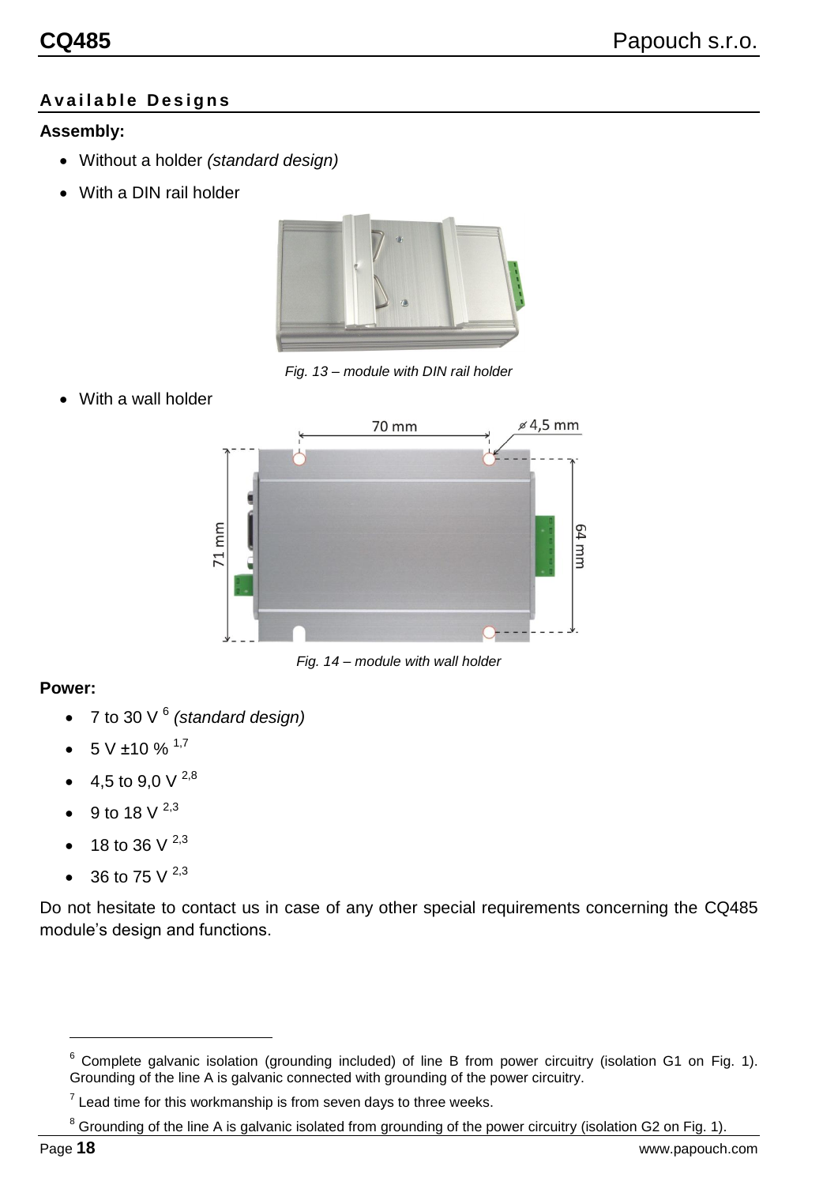#### <span id="page-17-0"></span>**A v a i l a b l e D e s i g n s**

#### **Assembly:**

- Without a holder *(standard design)*
- With a DIN rail holder



*Fig. 13 – module with DIN rail holder*

With a wall holder



*Fig. 14 – module with wall holder*

#### **Power:**

- 7 to 30 V <sup>6</sup> *(standard design)*
- $5 V ± 10 \%$ <sup>1,7</sup>
- 4,5 to 9,0 V  $^{2,8}$
- 9 to 18 V  $^{2,3}$
- 18 to 36 V  $^{2,3}$
- 36 to 75  $\sqrt{2,3}$

Do not hesitate to contact us in case of any other special requirements concerning the CQ485 module's design and functions.

<sup>&</sup>lt;sup>6</sup> Complete galvanic isolation (grounding included) of line B from power circuitry (isolation G1 on [Fig. 1\)](#page-5-2). Grounding of the line A is galvanic connected with grounding of the power circuitry.

 $7$  Lead time for this workmanship is from seven days to three weeks.

<sup>&</sup>lt;sup>8</sup> Grounding of the line A is galvanic isolated from grounding of the power circuitry (isolation G2 on [Fig. 1\)](#page-5-2).